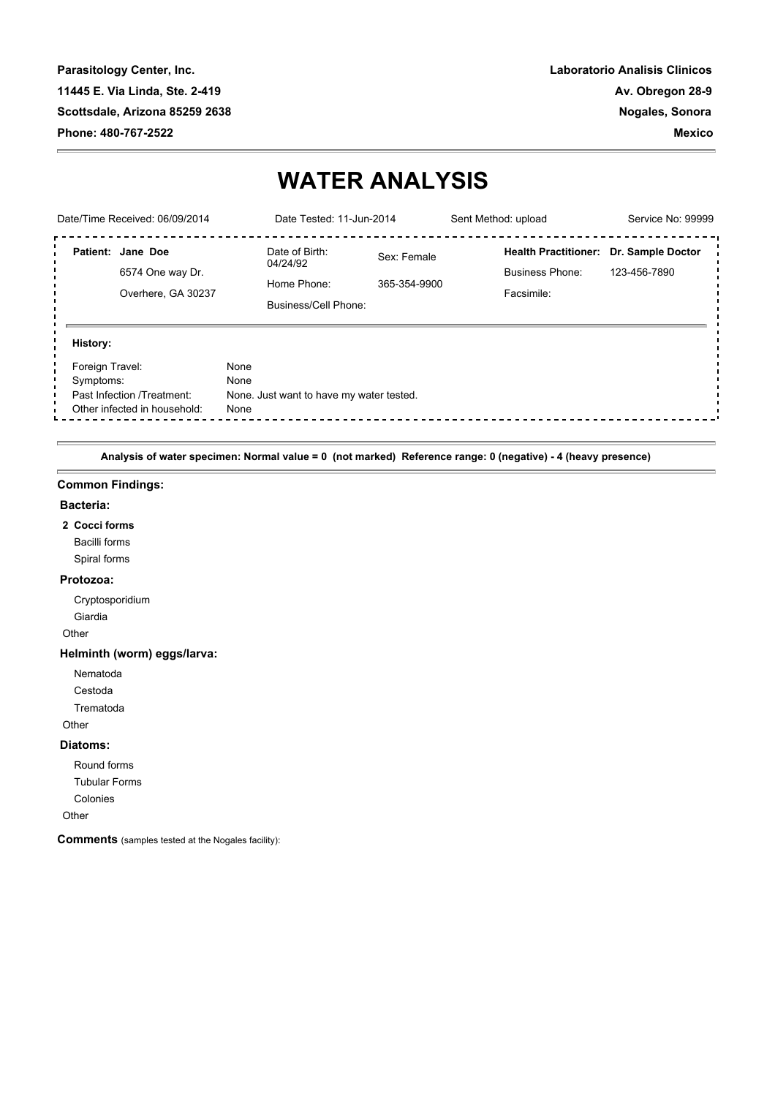**Parasitology Center, Inc. 11445 E. Via Linda, Ste. 2-419 Scottsdale, Arizona 85259 2638 Phone: 480-767-2522** 

# **WATER ANALYSIS**

| Date/Time Received: 06/09/2014                                                                                                 |                                                             | Date Tested: 11-Jun-2014                                          |                             | Sent Method: upload                                                 | Service No: 99999                 |
|--------------------------------------------------------------------------------------------------------------------------------|-------------------------------------------------------------|-------------------------------------------------------------------|-----------------------------|---------------------------------------------------------------------|-----------------------------------|
|                                                                                                                                | Patient: Jane Doe<br>6574 One way Dr.<br>Overhere, GA 30237 | Date of Birth:<br>04/24/92<br>Home Phone:<br>Business/Cell Phone: | Sex: Female<br>365-354-9900 | <b>Health Practitioner:</b><br><b>Business Phone:</b><br>Facsimile: | Dr. Sample Doctor<br>123-456-7890 |
| History:<br>Foreign Travel:<br>None<br>None<br>Symptoms:<br>Past Infection /Treatment:<br>Other infected in household:<br>None |                                                             | None. Just want to have my water tested.                          |                             |                                                                     |                                   |

 **Analysis of water specimen: Normal value = 0 (not marked) Reference range: 0 (negative) - 4 (heavy presence)** 

#### **Common Findings:**

#### **Bacteria:**

**2 Cocci forms** Bacilli forms Spiral forms

# **Protozoa:**

 Cryptosporidium Giardia

Other

#### **Helminth (worm) eggs/larva:**

Nematoda

Cestoda

Trematoda

**Other** 

#### **Diatoms:**

Round forms

Tubular Forms

Colonies

#### **Other**

**Comments** (samples tested at the Nogales facility):